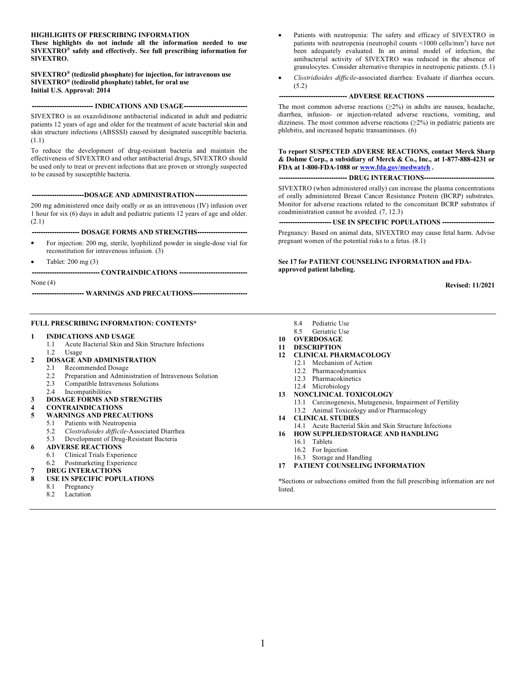#### **HIGHLIGHTS OF PRESCRIBING INFORMATION**

**These highlights do not include all the information needed to use SIVEXTRO® safely and effectively. See full prescribing information for SIVEXTRO.**

**SIVEXTRO® (tedizolid phosphate) for injection, for intravenous use SIVEXTRO® (tedizolid phosphate) tablet, for oral use Initial U.S. Approval: 2014**

#### **--------------------------- INDICATIONS AND USAGE----------------------------**

SIVEXTRO is an oxazolidinone antibacterial indicated in adult and pediatric patients 12 years of age and older for the treatment of acute bacterial skin and skin structure infections (ABSSSI) caused by designated susceptible bacteria. (1.1)

To reduce the development of drug-resistant bacteria and maintain the effectiveness of SIVEXTRO and other antibacterial drugs, SIVEXTRO should be used only to treat or prevent infections that are proven or strongly suspected to be caused by susceptible bacteria.

**-----------------------DOSAGE AND ADMINISTRATION-----------------------**

200 mg administered once daily orally or as an intravenous (IV) infusion over 1 hour for six (6) days in adult and pediatric patients 12 years of age and older. (2.1)

**--------------------- DOSAGE FORMS AND STRENGTHS----------------------**

- For injection: 200 mg, sterile, lyophilized powder in single-dose vial for reconstitution for intravenous infusion. (3)
- Tablet: 200 mg (3)

**------------------------------ CONTRAINDICATIONS ------------------------------**

None (4)

**----------------------- WARNINGS AND PRECAUTIONS------------------------**

#### **FULL PRESCRIBING INFORMATION: CONTENTS\***

#### **1 INDICATIONS AND USAGE**

- 1.1 Acute Bacterial Skin and Skin Structure Infections
- 1.2 Usage

#### **2 DOSAGE AND ADMINISTRATION**

- 2.1 Recommended Dosage
- 2.2 Preparation and Administration of Intravenous Solution<br>2.3 Compatible Intravenous Solutions
- Compatible Intravenous Solutions
- 2.4 Incompatibilities
- **3 DOSAGE FORMS AND STRENGTHS**

#### **4 CONTRAINDICATIONS**

- **5 WARNINGS AND PRECAUTIONS**
	- 5.1 Patients with Neutropenia<br>5.2 Clostridioides difficile-Ass
	- 5.2 *Clostridioides difficile*-Associated Diarrhea
	- 5.3 Development of Drug-Resistant Bacteria

#### **6 ADVERSE REACTIONS**

- 6.1 Clinical Trials Experience
- 6.2 Postmarketing Experience
- **7 DRUG INTERACTIONS**
- **8 USE IN SPECIFIC POPULATIONS**
	- 8.1 Pregnancy<br>8.2 Lactation
	- Lactation
- Patients with neutropenia: The safety and efficacy of SIVEXTRO in patients with neutropenia (neutrophil counts <1000 cells/mm<sup>3</sup>) have not been adequately evaluated. In an animal model of infection, the antibacterial activity of SIVEXTRO was reduced in the absence of granulocytes. Consider alternative therapies in neutropenic patients. (5.1)
- *Clostridioides difficile*-associated diarrhea: Evaluate if diarrhea occurs. (5.2)

#### **------------------------------ ADVERSE REACTIONS ------------------------------**

The most common adverse reactions  $(>2\%)$  in adults are nausea, headache, diarrhea, infusion- or injection-related adverse reactions, vomiting, and dizziness. The most common adverse reactions  $(\geq 2\%)$  in pediatric patients are phlebitis, and increased hepatic transaminases. (6)

**To report SUSPECTED ADVERSE REACTIONS, contact Merck Sharp & Dohme Corp., a subsidiary of Merck & Co., Inc., at 1-877-888-4231 or FDA at 1-800-FDA-1088 or [www.fda.gov/medwatch](http://www.fda.gov/medwatch) .**

**------------------------------ DRUG INTERACTIONS-------------------------------**

SIVEXTRO (when administered orally) can increase the plasma concentrations of orally administered Breast Cancer Resistance Protein (BCRP) substrates. Monitor for adverse reactions related to the concomitant BCRP substrates if coadministration cannot be avoided. (7, 12.3)

**----------------------- USE IN SPECIFIC POPULATIONS -----------------------**

Pregnancy: Based on animal data, SIVEXTRO may cause fetal harm. Advise pregnant women of the potential risks to a fetus. (8.1)

**See 17 for PATIENT COUNSELING INFORMATION and FDAapproved patient labeling.**

**Revised: 11/2021**

- 8.4 Pediatric Use
- 8.5 Geriatric Use
- **10 OVERDOSAGE**
- **11 DESCRIPTION**
- **12 CLINICAL PHARMACOLOGY**
	- 12.1 Mechanism of Action
	- 12.2 Pharmacodynamics
	- 12.3 Pharmacokinetics
	- 12.4 Microbiology
- **13 NONCLINICAL TOXICOLOGY**
	- 13.1 Carcinogenesis, Mutagenesis, Impairment of Fertility 13.2 Animal Toxicology and/or Pharmacology
- **14 CLINICAL STUDIES**
- 14.1 Acute Bacterial Skin and Skin Structure Infections
- **16 HOW SUPPLIED/STORAGE AND HANDLING**
	- 16.1 Tablets
	- 16.2 For Injection
	- 16.3 Storage and Handling
- **17 PATIENT COUNSELING INFORMATION**

**\***Sections or subsections omitted from the full prescribing information are not listed.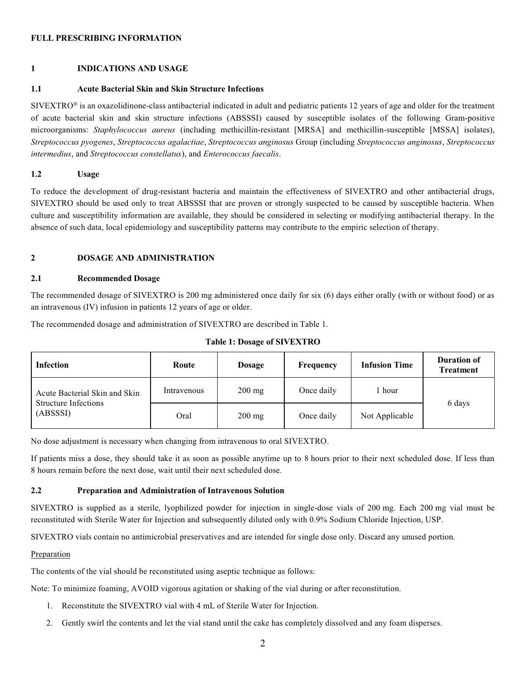# **FULL PRESCRIBING INFORMATION**

# **1 INDICATIONS AND USAGE**

### **1.1 Acute Bacterial Skin and Skin Structure Infections**

 $SIVERTRO<sup>®</sup>$  is an oxazolidinone-class antibacterial indicated in adult and pediatric patients 12 years of age and older for the treatment of acute bacterial skin and skin structure infections (ABSSSI) caused by susceptible isolates of the following Gram-positive microorganisms: *Staphylococcus aureus* (including methicillin-resistant [MRSA] and methicillin-susceptible [MSSA] isolates), *Streptococcus pyogenes*, *Streptococcus agalactiae*, *Streptococcus anginosus* Group (including *Streptococcus anginosus*, *Streptococcus intermedius*, and *Streptococcus constellatus*), and *Enterococcus faecalis*.

# **1.2 Usage**

To reduce the development of drug-resistant bacteria and maintain the effectiveness of SIVEXTRO and other antibacterial drugs, SIVEXTRO should be used only to treat ABSSSI that are proven or strongly suspected to be caused by susceptible bacteria. When culture and susceptibility information are available, they should be considered in selecting or modifying antibacterial therapy. In the absence of such data, local epidemiology and susceptibility patterns may contribute to the empiric selection of therapy.

# **2 DOSAGE AND ADMINISTRATION**

#### **2.1 Recommended Dosage**

The recommended dosage of SIVEXTRO is 200 mg administered once daily for six (6) days either orally (with or without food) or as an intravenous (IV) infusion in patients 12 years of age or older.

The recommended dosage and administration of SIVEXTRO are described in Table 1.

|  |  |  |  |  | <b>Table 1: Dosage of SIVEXTRO</b> |
|--|--|--|--|--|------------------------------------|
|--|--|--|--|--|------------------------------------|

| <b>Infection</b>                                                         | Route       | <b>Dosage</b>    | Frequency  | <b>Infusion Time</b> | <b>Duration of</b><br><b>Treatment</b> |
|--------------------------------------------------------------------------|-------------|------------------|------------|----------------------|----------------------------------------|
| Acute Bacterial Skin and Skin<br><b>Structure Infections</b><br>(ABSSSI) | Intravenous | $200 \text{ mg}$ | Once daily | hour                 |                                        |
|                                                                          | Oral        | $200 \text{ mg}$ | Once daily | Not Applicable       | 6 days                                 |

No dose adjustment is necessary when changing from intravenous to oral SIVEXTRO.

If patients miss a dose, they should take it as soon as possible anytime up to 8 hours prior to their next scheduled dose. If less than 8 hours remain before the next dose, wait until their next scheduled dose.

# **2.2 Preparation and Administration of Intravenous Solution**

SIVEXTRO is supplied as a sterile, lyophilized powder for injection in single-dose vials of 200 mg. Each 200 mg vial must be reconstituted with Sterile Water for Injection and subsequently diluted only with 0.9% Sodium Chloride Injection, USP.

SIVEXTRO vials contain no antimicrobial preservatives and are intended for single dose only. Discard any unused portion.

#### Preparation

The contents of the vial should be reconstituted using aseptic technique as follows:

Note: To minimize foaming, AVOID vigorous agitation or shaking of the vial during or after reconstitution.

- 1. Reconstitute the SIVEXTRO vial with 4 mL of Sterile Water for Injection.
- 2. Gently swirl the contents and let the vial stand until the cake has completely dissolved and any foam disperses.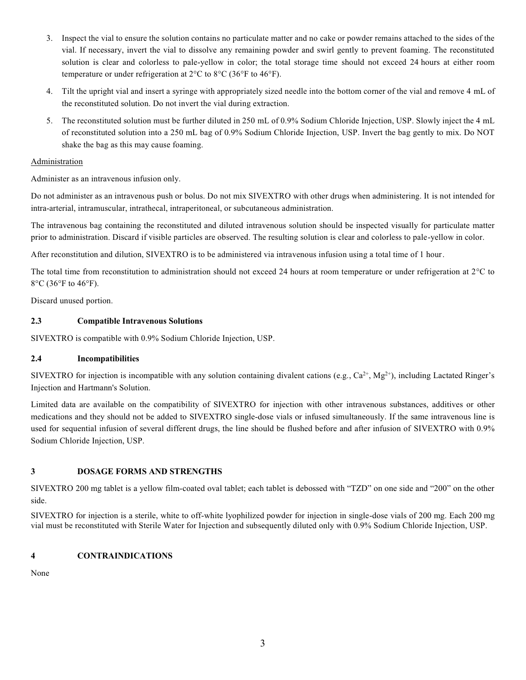- 3. Inspect the vial to ensure the solution contains no particulate matter and no cake or powder remains attached to the sides of the vial. If necessary, invert the vial to dissolve any remaining powder and swirl gently to prevent foaming. The reconstituted solution is clear and colorless to pale-yellow in color; the total storage time should not exceed 24 hours at either room temperature or under refrigeration at 2°C to 8°C (36°F to 46°F).
- 4. Tilt the upright vial and insert a syringe with appropriately sized needle into the bottom corner of the vial and remove 4 mL of the reconstituted solution. Do not invert the vial during extraction.
- 5. The reconstituted solution must be further diluted in 250 mL of 0.9% Sodium Chloride Injection, USP. Slowly inject the 4 mL of reconstituted solution into a 250 mL bag of 0.9% Sodium Chloride Injection, USP. Invert the bag gently to mix. Do NOT shake the bag as this may cause foaming.

# Administration

Administer as an intravenous infusion only.

Do not administer as an intravenous push or bolus. Do not mix SIVEXTRO with other drugs when administering. It is not intended for intra-arterial, intramuscular, intrathecal, intraperitoneal, or subcutaneous administration.

The intravenous bag containing the reconstituted and diluted intravenous solution should be inspected visually for particulate matter prior to administration. Discard if visible particles are observed. The resulting solution is clear and colorless to pale-yellow in color.

After reconstitution and dilution, SIVEXTRO is to be administered via intravenous infusion using a total time of 1 hour.

The total time from reconstitution to administration should not exceed 24 hours at room temperature or under refrigeration at 2°C to 8°C (36°F to 46°F).

Discard unused portion.

# **2.3 Compatible Intravenous Solutions**

SIVEXTRO is compatible with 0.9% Sodium Chloride Injection, USP.

# **2.4 Incompatibilities**

SIVEXTRO for injection is incompatible with any solution containing divalent cations (e.g.,  $Ca^{2+}$ ,  $Mg^{2+}$ ), including Lactated Ringer's Injection and Hartmann's Solution.

Limited data are available on the compatibility of SIVEXTRO for injection with other intravenous substances, additives or other medications and they should not be added to SIVEXTRO single-dose vials or infused simultaneously. If the same intravenous line is used for sequential infusion of several different drugs, the line should be flushed before and after infusion of SIVEXTRO with 0.9% Sodium Chloride Injection, USP.

# **3 DOSAGE FORMS AND STRENGTHS**

SIVEXTRO 200 mg tablet is a yellow film-coated oval tablet; each tablet is debossed with "TZD" on one side and "200" on the other side.

SIVEXTRO for injection is a sterile, white to off-white lyophilized powder for injection in single-dose vials of 200 mg. Each 200 mg vial must be reconstituted with Sterile Water for Injection and subsequently diluted only with 0.9% Sodium Chloride Injection, USP.

# **4 CONTRAINDICATIONS**

None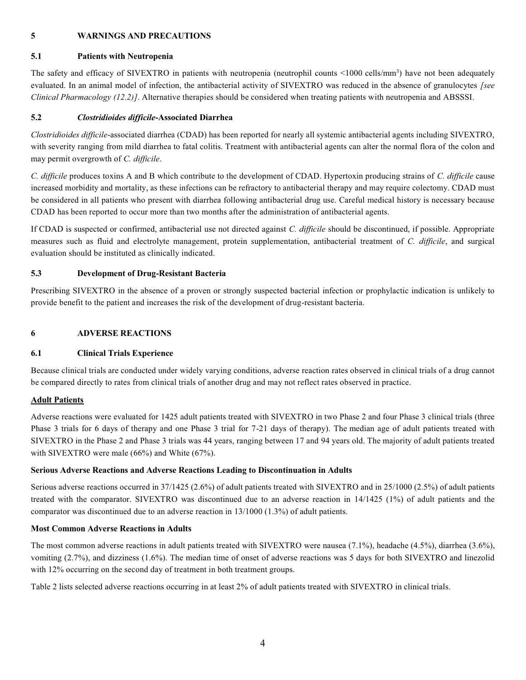# **5 WARNINGS AND PRECAUTIONS**

# **5.1 Patients with Neutropenia**

The safety and efficacy of SIVEXTRO in patients with neutropenia (neutrophil counts <1000 cells/mm<sup>3</sup>) have not been adequately evaluated. In an animal model of infection, the antibacterial activity of SIVEXTRO was reduced in the absence of granulocytes *[see Clinical Pharmacology (12.2)]*. Alternative therapies should be considered when treating patients with neutropenia and ABSSSI.

# **5.2** *Clostridioides difficile***-Associated Diarrhea**

*Clostridioides difficile*-associated diarrhea (CDAD) has been reported for nearly all systemic antibacterial agents including SIVEXTRO, with severity ranging from mild diarrhea to fatal colitis. Treatment with antibacterial agents can alter the normal flora of the colon and may permit overgrowth of *C. difficile*.

*C. difficile* produces toxins A and B which contribute to the development of CDAD. Hypertoxin producing strains of *C. difficile* cause increased morbidity and mortality, as these infections can be refractory to antibacterial therapy and may require colectomy. CDAD must be considered in all patients who present with diarrhea following antibacterial drug use. Careful medical history is necessary because CDAD has been reported to occur more than two months after the administration of antibacterial agents.

If CDAD is suspected or confirmed, antibacterial use not directed against *C. difficile* should be discontinued, if possible. Appropriate measures such as fluid and electrolyte management, protein supplementation, antibacterial treatment of *C. difficile*, and surgical evaluation should be instituted as clinically indicated.

# **5.3 Development of Drug-Resistant Bacteria**

Prescribing SIVEXTRO in the absence of a proven or strongly suspected bacterial infection or prophylactic indication is unlikely to provide benefit to the patient and increases the risk of the development of drug-resistant bacteria.

# **6 ADVERSE REACTIONS**

# **6.1 Clinical Trials Experience**

Because clinical trials are conducted under widely varying conditions, adverse reaction rates observed in clinical trials of a drug cannot be compared directly to rates from clinical trials of another drug and may not reflect rates observed in practice.

# **Adult Patients**

Adverse reactions were evaluated for 1425 adult patients treated with SIVEXTRO in two Phase 2 and four Phase 3 clinical trials (three Phase 3 trials for 6 days of therapy and one Phase 3 trial for 7-21 days of therapy). The median age of adult patients treated with SIVEXTRO in the Phase 2 and Phase 3 trials was 44 years, ranging between 17 and 94 years old. The majority of adult patients treated with SIVEXTRO were male (66%) and White (67%).

# **Serious Adverse Reactions and Adverse Reactions Leading to Discontinuation in Adults**

Serious adverse reactions occurred in 37/1425 (2.6%) of adult patients treated with SIVEXTRO and in 25/1000 (2.5%) of adult patients treated with the comparator. SIVEXTRO was discontinued due to an adverse reaction in 14/1425 (1%) of adult patients and the comparator was discontinued due to an adverse reaction in 13/1000 (1.3%) of adult patients.

# **Most Common Adverse Reactions in Adults**

The most common adverse reactions in adult patients treated with SIVEXTRO were nausea (7.1%), headache (4.5%), diarrhea (3.6%), vomiting (2.7%), and dizziness (1.6%). The median time of onset of adverse reactions was 5 days for both SIVEXTRO and linezolid with 12% occurring on the second day of treatment in both treatment groups.

Table 2 lists selected adverse reactions occurring in at least 2% of adult patients treated with SIVEXTRO in clinical trials.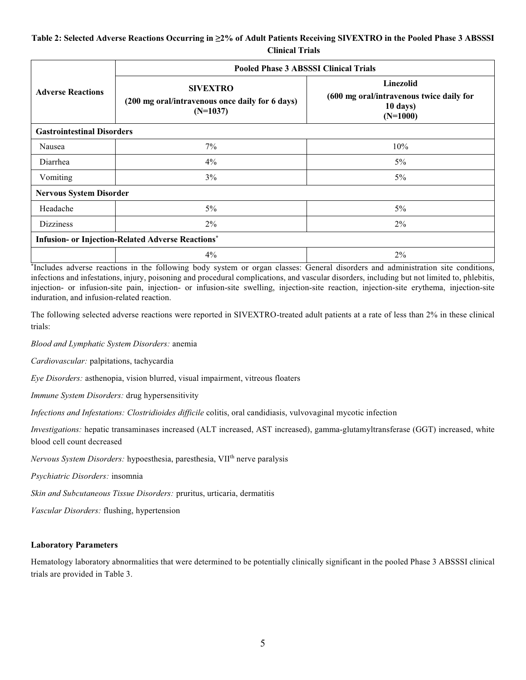# **Table 2: Selected Adverse Reactions Occurring in ≥2% of Adult Patients Receiving SIVEXTRO in the Pooled Phase 3 ABSSSI Clinical Trials**

|                                   | <b>Pooled Phase 3 ABSSSI Clinical Trials</b>                                     |                                                                                        |  |  |  |  |  |
|-----------------------------------|----------------------------------------------------------------------------------|----------------------------------------------------------------------------------------|--|--|--|--|--|
| <b>Adverse Reactions</b>          | <b>SIVEXTRO</b><br>(200 mg oral/intravenous once daily for 6 days)<br>$(N=1037)$ | <b>Linezolid</b><br>(600 mg oral/intravenous twice daily for<br>10 days)<br>$(N=1000)$ |  |  |  |  |  |
| <b>Gastrointestinal Disorders</b> |                                                                                  |                                                                                        |  |  |  |  |  |
| Nausea                            | 7%                                                                               | 10%                                                                                    |  |  |  |  |  |
| Diarrhea                          | $4\%$                                                                            | $5\%$                                                                                  |  |  |  |  |  |
| Vomiting                          | 3%                                                                               | $5\%$                                                                                  |  |  |  |  |  |
|                                   | <b>Nervous System Disorder</b>                                                   |                                                                                        |  |  |  |  |  |
| Headache                          | $5\%$                                                                            | $5\%$                                                                                  |  |  |  |  |  |
| <b>Dizziness</b>                  | $2\%$                                                                            | $2\%$                                                                                  |  |  |  |  |  |
|                                   | <b>Infusion- or Injection-Related Adverse Reactions*</b>                         |                                                                                        |  |  |  |  |  |
|                                   | $4\%$                                                                            | $2\%$                                                                                  |  |  |  |  |  |

\* Includes adverse reactions in the following body system or organ classes: General disorders and administration site conditions, infections and infestations, injury, poisoning and procedural complications, and vascular disorders, including but not limited to, phlebitis, injection- or infusion-site pain, injection- or infusion-site swelling, injection-site reaction, injection-site erythema, injection-site induration, and infusion-related reaction.

The following selected adverse reactions were reported in SIVEXTRO-treated adult patients at a rate of less than 2% in these clinical trials:

*Blood and Lymphatic System Disorders:* anemia

*Cardiovascular:* palpitations, tachycardia

*Eye Disorders:* asthenopia, vision blurred, visual impairment, vitreous floaters

*Immune System Disorders:* drug hypersensitivity

*Infections and Infestations: Clostridioides difficile* colitis, oral candidiasis, vulvovaginal mycotic infection

*Investigations:* hepatic transaminases increased (ALT increased, AST increased), gamma-glutamyltransferase (GGT) increased, white blood cell count decreased

*Nervous System Disorders:* hypoesthesia, paresthesia, VIIth nerve paralysis

*Psychiatric Disorders:* insomnia

*Skin and Subcutaneous Tissue Disorders:* pruritus, urticaria, dermatitis

*Vascular Disorders:* flushing, hypertension

#### **Laboratory Parameters**

Hematology laboratory abnormalities that were determined to be potentially clinically significant in the pooled Phase 3 ABSSSI clinical trials are provided in Table 3.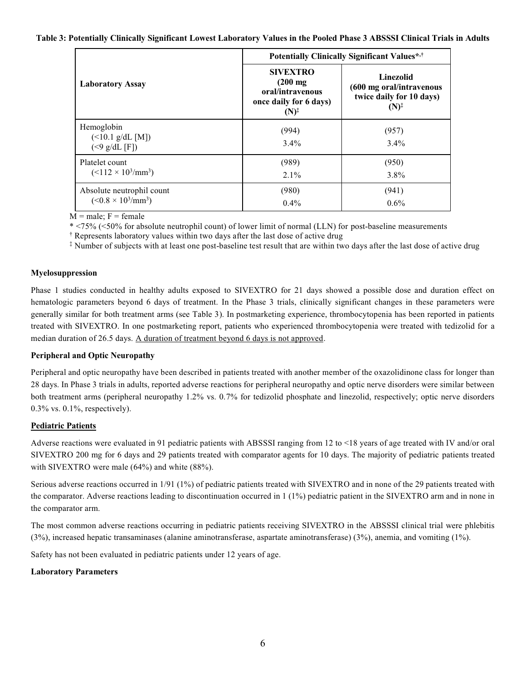#### **Table 3: Potentially Clinically Significant Lowest Laboratory Values in the Pooled Phase 3 ABSSSI Clinical Trials in Adults**

|                                                                   | Potentially Clinically Significant Values*,†                                                   |                                                                                              |  |  |
|-------------------------------------------------------------------|------------------------------------------------------------------------------------------------|----------------------------------------------------------------------------------------------|--|--|
| <b>Laboratory Assay</b>                                           | <b>SIVEXTRO</b><br>$(200$ mg<br>oral/intravenous<br>once daily for 6 days)<br>$(N)^{\ddagger}$ | <b>Linezolid</b><br>(600 mg oral/intravenous<br>twice daily for 10 days)<br>$(N)^{\ddagger}$ |  |  |
| Hemoglobin<br>$($ < 10.1 g/dL [M])<br>$(\leq 9 \text{ g/dL} [F])$ | (994)<br>$3.4\%$                                                                               | (957)<br>$3.4\%$                                                                             |  |  |
| Platelet count<br>$(<112 \times 10^3/\text{mm}^3)$                | (989)<br>$2.1\%$                                                                               | (950)<br>$3.8\%$                                                                             |  |  |
| Absolute neutrophil count<br>$(<0.8 \times 10^3/\text{mm}^3)$     | (980)<br>$0.4\%$                                                                               | (941)<br>$0.6\%$                                                                             |  |  |

 $M = male$ ;  $F = female$ 

\* <75% (<50% for absolute neutrophil count) of lower limit of normal (LLN) for post-baseline measurements

† Represents laboratory values within two days after the last dose of active drug

‡ Number of subjects with at least one post-baseline test result that are within two days after the last dose of active drug

#### **Myelosuppression**

Phase 1 studies conducted in healthy adults exposed to SIVEXTRO for 21 days showed a possible dose and duration effect on hematologic parameters beyond 6 days of treatment. In the Phase 3 trials, clinically significant changes in these parameters were generally similar for both treatment arms (see Table 3). In postmarketing experience, thrombocytopenia has been reported in patients treated with SIVEXTRO. In one postmarketing report, patients who experienced thrombocytopenia were treated with tedizolid for a median duration of 26.5 days. A duration of treatment beyond 6 days is not approved.

# **Peripheral and Optic Neuropathy**

Peripheral and optic neuropathy have been described in patients treated with another member of the oxazolidinone class for longer than 28 days. In Phase 3 trials in adults, reported adverse reactions for peripheral neuropathy and optic nerve disorders were similar between both treatment arms (peripheral neuropathy 1.2% vs. 0.7% for tedizolid phosphate and linezolid, respectively; optic nerve disorders 0.3% vs. 0.1%, respectively).

#### **Pediatric Patients**

Adverse reactions were evaluated in 91 pediatric patients with ABSSSI ranging from 12 to <18 years of age treated with IV and/or oral SIVEXTRO 200 mg for 6 days and 29 patients treated with comparator agents for 10 days. The majority of pediatric patients treated with SIVEXTRO were male (64%) and white (88%).

Serious adverse reactions occurred in 1/91 (1%) of pediatric patients treated with SIVEXTRO and in none of the 29 patients treated with the comparator. Adverse reactions leading to discontinuation occurred in 1 (1%) pediatric patient in the SIVEXTRO arm and in none in the comparator arm.

The most common adverse reactions occurring in pediatric patients receiving SIVEXTRO in the ABSSSI clinical trial were phlebitis (3%), increased hepatic transaminases (alanine aminotransferase, aspartate aminotransferase) (3%), anemia, and vomiting (1%).

Safety has not been evaluated in pediatric patients under 12 years of age.

# **Laboratory Parameters**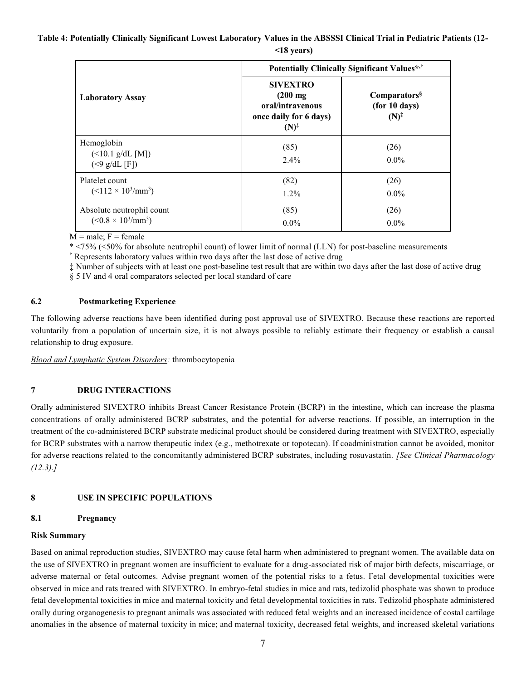**Table 4: Potentially Clinically Significant Lowest Laboratory Values in the ABSSSI Clinical Trial in Pediatric Patients (12-**

|                                                                | Potentially Clinically Significant Values*,†                                                   |                                                               |  |  |  |
|----------------------------------------------------------------|------------------------------------------------------------------------------------------------|---------------------------------------------------------------|--|--|--|
| <b>Laboratory Assay</b>                                        | <b>SIVEXTRO</b><br>$(200$ mg<br>oral/intravenous<br>once daily for 6 days)<br>$(N)^{\ddagger}$ | Comparators <sup>§</sup><br>(for 10 days)<br>$(N)^{\ddagger}$ |  |  |  |
| Hemoglobin<br>$($ < 10.1 g/dL [M])<br>$(< 9 \text{ g/dL} [F])$ | (85)<br>$2.4\%$                                                                                | (26)<br>$0.0\%$                                               |  |  |  |
| Platelet count<br>$(<112 \times 10^3/\text{mm}^3)$             | (82)<br>$1.2\%$                                                                                | (26)<br>$0.0\%$                                               |  |  |  |
| Absolute neutrophil count<br>$(<0.8 \times 10^3/\text{mm}^3)$  | (85)<br>$0.0\%$                                                                                | (26)<br>$0.0\%$                                               |  |  |  |

**<18 years)**

 $M = male$ ;  $F = female$ 

\* <75% (<50% for absolute neutrophil count) of lower limit of normal (LLN) for post-baseline measurements † Represents laboratory values within two days after the last dose of active drug

‡ Number of subjects with at least one post-baseline test result that are within two days after the last dose of active drug § 5 IV and 4 oral comparators selected per local standard of care

# **6.2 Postmarketing Experience**

The following adverse reactions have been identified during post approval use of SIVEXTRO. Because these reactions are reported voluntarily from a population of uncertain size, it is not always possible to reliably estimate their frequency or establish a causal relationship to drug exposure.

*Blood and Lymphatic System Disorders:* thrombocytopenia

# **7 DRUG INTERACTIONS**

Orally administered SIVEXTRO inhibits Breast Cancer Resistance Protein (BCRP) in the intestine, which can increase the plasma concentrations of orally administered BCRP substrates, and the potential for adverse reactions. If possible, an interruption in the treatment of the co-administered BCRP substrate medicinal product should be considered during treatment with SIVEXTRO, especially for BCRP substrates with a narrow therapeutic index (e.g., methotrexate or topotecan). If coadministration cannot be avoided, monitor for adverse reactions related to the concomitantly administered BCRP substrates, including rosuvastatin. *[See Clinical Pharmacology (12.3).]*

# **8 USE IN SPECIFIC POPULATIONS**

# **8.1 Pregnancy**

# **Risk Summary**

Based on animal reproduction studies, SIVEXTRO may cause fetal harm when administered to pregnant women. The available data on the use of SIVEXTRO in pregnant women are insufficient to evaluate for a drug-associated risk of major birth defects, miscarriage, or adverse maternal or fetal outcomes. Advise pregnant women of the potential risks to a fetus. Fetal developmental toxicities were observed in mice and rats treated with SIVEXTRO. In embryo-fetal studies in mice and rats, tedizolid phosphate was shown to produce fetal developmental toxicities in mice and maternal toxicity and fetal developmental toxicities in rats. Tedizolid phosphate administered orally during organogenesis to pregnant animals was associated with reduced fetal weights and an increased incidence of costal cartilage anomalies in the absence of maternal toxicity in mice; and maternal toxicity, decreased fetal weights, and increased skeletal variations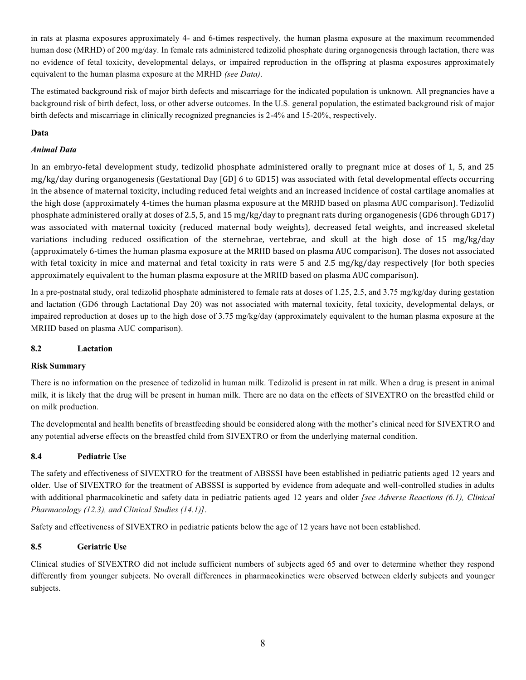in rats at plasma exposures approximately 4- and 6-times respectively, the human plasma exposure at the maximum recommended human dose (MRHD) of 200 mg/day. In female rats administered tedizolid phosphate during organogenesis through lactation, there was no evidence of fetal toxicity, developmental delays, or impaired reproduction in the offspring at plasma exposures approximately equivalent to the human plasma exposure at the MRHD *(see Data)*.

The estimated background risk of major birth defects and miscarriage for the indicated population is unknown. All pregnancies have a background risk of birth defect, loss, or other adverse outcomes. In the U.S. general population, the estimated background risk of major birth defects and miscarriage in clinically recognized pregnancies is 2-4% and 15-20%, respectively.

# **Data**

# *Animal Data*

In an embryo-fetal development study, tedizolid phosphate administered orally to pregnant mice at doses of 1, 5, and 25 mg/kg/day during organogenesis (Gestational Day [GD] 6 to GD15) was associated with fetal developmental effects occurring in the absence of maternal toxicity, including reduced fetal weights and an increased incidence of costal cartilage anomalies at the high dose (approximately 4-times the human plasma exposure at the MRHD based on plasma AUC comparison). Tedizolid phosphate administered orally at doses of 2.5, 5, and 15 mg/kg/day to pregnant rats during organogenesis (GD6 through GD17) was associated with maternal toxicity (reduced maternal body weights), decreased fetal weights, and increased skeletal variations including reduced ossification of the sternebrae, vertebrae, and skull at the high dose of 15 mg/kg/day (approximately 6-times the human plasma exposure at the MRHD based on plasma AUC comparison). The doses not associated with fetal toxicity in mice and maternal and fetal toxicity in rats were 5 and 2.5 mg/kg/day respectively (for both species approximately equivalent to the human plasma exposure at the MRHD based on plasma AUC comparison).

In a pre-postnatal study, oral tedizolid phosphate administered to female rats at doses of 1.25, 2.5, and 3.75 mg/kg/day during gestation and lactation (GD6 through Lactational Day 20) was not associated with maternal toxicity, fetal toxicity, developmental delays, or impaired reproduction at doses up to the high dose of 3.75 mg/kg/day (approximately equivalent to the human plasma exposure at the MRHD based on plasma AUC comparison).

# **8.2 Lactation**

# **Risk Summary**

There is no information on the presence of tedizolid in human milk. Tedizolid is present in rat milk. When a drug is present in animal milk, it is likely that the drug will be present in human milk. There are no data on the effects of SIVEXTRO on the breastfed child or on milk production.

The developmental and health benefits of breastfeeding should be considered along with the mother's clinical need for SIVEXTRO and any potential adverse effects on the breastfed child from SIVEXTRO or from the underlying maternal condition.

# **8.4 Pediatric Use**

The safety and effectiveness of SIVEXTRO for the treatment of ABSSSI have been established in pediatric patients aged 12 years and older. Use of SIVEXTRO for the treatment of ABSSSI is supported by evidence from adequate and well-controlled studies in adults with additional pharmacokinetic and safety data in pediatric patients aged 12 years and older *[see Adverse Reactions (6.1), Clinical Pharmacology (12.3), and Clinical Studies (14.1)]*.

Safety and effectiveness of SIVEXTRO in pediatric patients below the age of 12 years have not been established.

# **8.5 Geriatric Use**

Clinical studies of SIVEXTRO did not include sufficient numbers of subjects aged 65 and over to determine whether they respond differently from younger subjects. No overall differences in pharmacokinetics were observed between elderly subjects and younger subjects.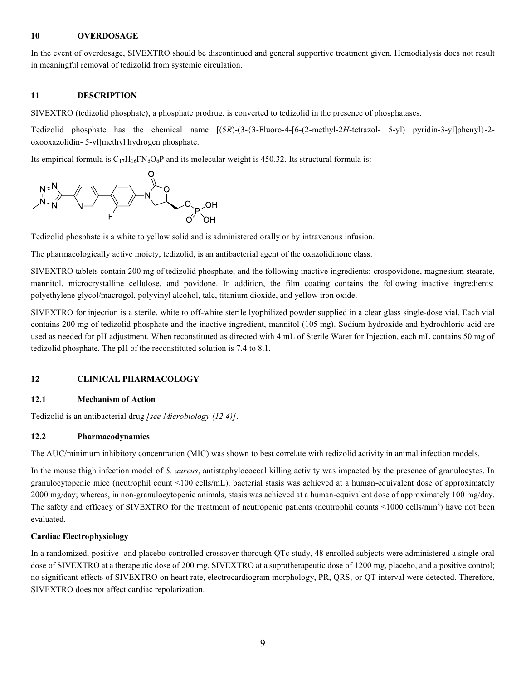#### **10 OVERDOSAGE**

In the event of overdosage, SIVEXTRO should be discontinued and general supportive treatment given. Hemodialysis does not result in meaningful removal of tedizolid from systemic circulation.

#### **11 DESCRIPTION**

SIVEXTRO (tedizolid phosphate), a phosphate prodrug, is converted to tedizolid in the presence of phosphatases.

Tedizolid phosphate has the chemical name [(5*R*)-(3-{3-Fluoro-4-[6-(2-methyl-2*H*-tetrazol- 5-yl) pyridin-3-yl]phenyl}-2 oxooxazolidin- 5-yl]methyl hydrogen phosphate.

Its empirical formula is  $C_{17}H_{16}FN_6O_6P$  and its molecular weight is 450.32. Its structural formula is:



Tedizolid phosphate is a white to yellow solid and is administered orally or by intravenous infusion.

The pharmacologically active moiety, tedizolid, is an antibacterial agent of the oxazolidinone class.

SIVEXTRO tablets contain 200 mg of tedizolid phosphate, and the following inactive ingredients: crospovidone, magnesium stearate, mannitol, microcrystalline cellulose, and povidone. In addition, the film coating contains the following inactive ingredients: polyethylene glycol/macrogol, polyvinyl alcohol, talc, titanium dioxide, and yellow iron oxide.

SIVEXTRO for injection is a sterile, white to off-white sterile lyophilized powder supplied in a clear glass single-dose vial. Each vial contains 200 mg of tedizolid phosphate and the inactive ingredient, mannitol (105 mg). Sodium hydroxide and hydrochloric acid are used as needed for pH adjustment. When reconstituted as directed with 4 mL of Sterile Water for Injection, each mL contains 50 mg of tedizolid phosphate. The pH of the reconstituted solution is 7.4 to 8.1.

# **12 CLINICAL PHARMACOLOGY**

# **12.1 Mechanism of Action**

Tedizolid is an antibacterial drug *[see Microbiology (12.4)]*.

# **12.2 Pharmacodynamics**

The AUC/minimum inhibitory concentration (MIC) was shown to best correlate with tedizolid activity in animal infection models.

In the mouse thigh infection model of *S. aureus*, antistaphylococcal killing activity was impacted by the presence of granulocytes. In granulocytopenic mice (neutrophil count <100 cells/mL), bacterial stasis was achieved at a human-equivalent dose of approximately 2000 mg/day; whereas, in non-granulocytopenic animals, stasis was achieved at a human-equivalent dose of approximately 100 mg/day. The safety and efficacy of SIVEXTRO for the treatment of neutropenic patients (neutrophil counts <1000 cells/mm<sup>3</sup>) have not been evaluated.

# **Cardiac Electrophysiology**

In a randomized, positive- and placebo-controlled crossover thorough QTc study, 48 enrolled subjects were administered a single oral dose of SIVEXTRO at a therapeutic dose of 200 mg, SIVEXTRO at a supratherapeutic dose of 1200 mg, placebo, and a positive control; no significant effects of SIVEXTRO on heart rate, electrocardiogram morphology, PR, QRS, or QT interval were detected. Therefore, SIVEXTRO does not affect cardiac repolarization.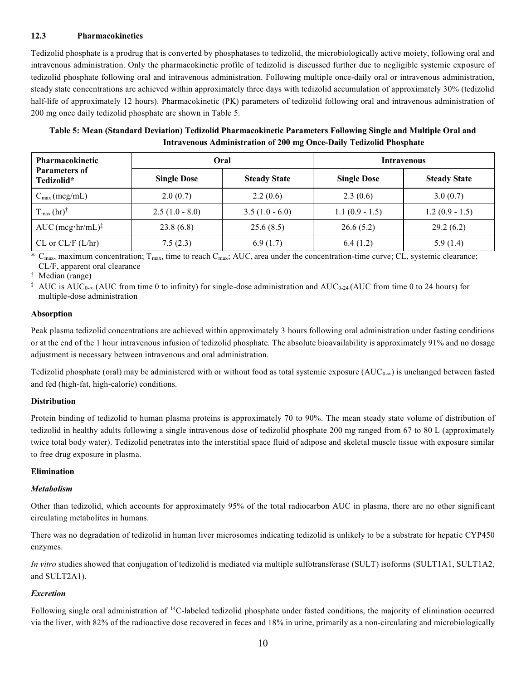# **12.3 Pharmacokinetics**

Tedizolid phosphate is a prodrug that is converted by phosphatases to tedizolid, the microbiologically active moiety, following oral and intravenous administration. Only the pharmacokinetic profile of tedizolid is discussed further due to negligible systemic exposure of tedizolid phosphate following oral and intravenous administration. Following multiple once-daily oral or intravenous administration, steady state concentrations are achieved within approximately three days with tedizolid accumulation of approximately 30% (tedizolid half-life of approximately 12 hours). Pharmacokinetic (PK) parameters of tedizolid following oral and intravenous administration of 200 mg once daily tedizolid phosphate are shown in Table 5.

**Table 5: Mean (Standard Deviation) Tedizolid Pharmacokinetic Parameters Following Single and Multiple Oral and Intravenous Administration of 200 mg Once-Daily Tedizolid Phosphate**

| Pharmacokinetic                                    |                    | Oral                | <b>Intravenous</b> |                     |  |
|----------------------------------------------------|--------------------|---------------------|--------------------|---------------------|--|
| <b>Parameters of</b><br>Tedizolid*                 | <b>Single Dose</b> | <b>Steady State</b> | <b>Single Dose</b> | <b>Steady State</b> |  |
| $C_{\text{max}}$ (mcg/mL)                          | 2.0(0.7)           | 2.2(0.6)            | 2.3(0.6)           | 3.0(0.7)            |  |
| $T_{\text{max}}(hr)^{\dagger}$                     | $2.5(1.0 - 8.0)$   | $3.5(1.0 - 6.0)$    | $1.1(0.9 - 1.5)$   | $1.2(0.9 - 1.5)$    |  |
| $AUC$ (mcg·hr/mL) <sup><math>\ddagger</math></sup> | 23.8(6.8)          | 25.6(8.5)           | 26.6(5.2)          | 29.2(6.2)           |  |
| $CL$ or $CL/F$ $(L/hr)$                            | 7.5(2.3)           | 6.9(1.7)            | 6.4(1.2)           | 5.9(1.4)            |  |

 $*$  C<sub>max</sub>, maximum concentration; T<sub>max</sub>, time to reach C<sub>max</sub>; AUC, area under the concentration-time curve; CL, systemic clearance; CL/F, apparent oral clearance

† Median (range)

<sup>‡</sup> AUC is AUC<sub>0-∞</sub> (AUC from time 0 to infinity) for single-dose administration and AUC<sub>0-24</sub> (AUC from time 0 to 24 hours) for multiple-dose administration

#### **Absorption**

Peak plasma tedizolid concentrations are achieved within approximately 3 hours following oral administration under fasting conditions or at the end of the 1 hour intravenous infusion of tedizolid phosphate. The absolute bioavailability is approximately 91% and no dosage adjustment is necessary between intravenous and oral administration.

Tedizolid phosphate (oral) may be administered with or without food as total systemic exposure ( $AUC_{0-\alpha}$ ) is unchanged between fasted and fed (high-fat, high-calorie) conditions.

# **Distribution**

Protein binding of tedizolid to human plasma proteins is approximately 70 to 90%. The mean steady state volume of distribution of tedizolid in healthy adults following a single intravenous dose of tedizolid phosphate 200 mg ranged from 67 to 80 L (approximately twice total body water). Tedizolid penetrates into the interstitial space fluid of adipose and skeletal muscle tissue with exposure similar to free drug exposure in plasma.

#### **Elimination**

#### *Metabolism*

Other than tedizolid, which accounts for approximately 95% of the total radiocarbon AUC in plasma, there are no other significant circulating metabolites in humans.

There was no degradation of tedizolid in human liver microsomes indicating tedizolid is unlikely to be a substrate for hepatic CYP450 enzymes.

*In vitro* studies showed that conjugation of tedizolid is mediated via multiple sulfotransferase (SULT) isoforms (SULT1A1, SULT1A2, and SULT2A1).

# *Excretion*

Following single oral administration of <sup>14</sup>C-labeled tedizolid phosphate under fasted conditions, the majority of elimination occurred via the liver, with 82% of the radioactive dose recovered in feces and 18% in urine, primarily as a non-circulating and microbiologically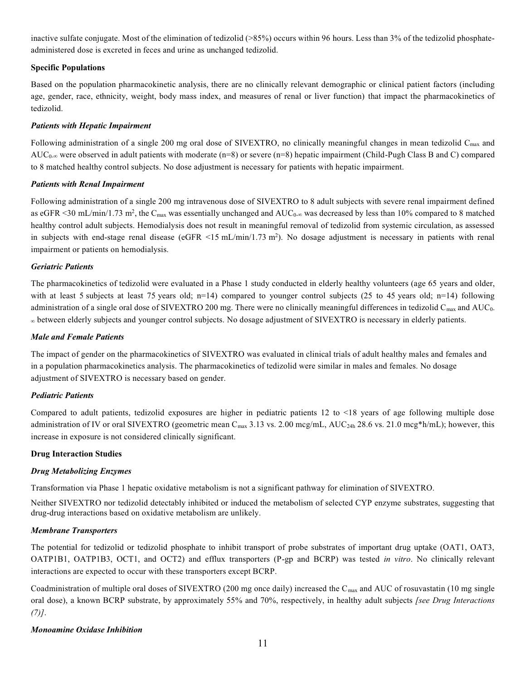inactive sulfate conjugate. Most of the elimination of tedizolid (>85%) occurs within 96 hours. Less than 3% of the tedizolid phosphateadministered dose is excreted in feces and urine as unchanged tedizolid.

#### **Specific Populations**

Based on the population pharmacokinetic analysis, there are no clinically relevant demographic or clinical patient factors (including age, gender, race, ethnicity, weight, body mass index, and measures of renal or liver function) that impact the pharmacokinetics of tedizolid.

### *Patients with Hepatic Impairment*

Following administration of a single 200 mg oral dose of SIVEXTRO, no clinically meaningful changes in mean tedizolid  $C_{\text{max}}$  and  $AUC_{0-\infty}$  were observed in adult patients with moderate (n=8) or severe (n=8) hepatic impairment (Child-Pugh Class B and C) compared to 8 matched healthy control subjects. No dose adjustment is necessary for patients with hepatic impairment.

#### *Patients with Renal Impairment*

Following administration of a single 200 mg intravenous dose of SIVEXTRO to 8 adult subjects with severe renal impairment defined as eGFR <30 mL/min/1.73 m<sup>2</sup>, the C<sub>max</sub> was essentially unchanged and AUC<sub>0-∞</sub> was decreased by less than 10% compared to 8 matched healthy control adult subjects. Hemodialysis does not result in meaningful removal of tedizolid from systemic circulation, as assessed in subjects with end-stage renal disease (eGFR <15 mL/min/1.73 m<sup>2</sup> ). No dosage adjustment is necessary in patients with renal impairment or patients on hemodialysis.

#### *Geriatric Patients*

The pharmacokinetics of tedizolid were evaluated in a Phase 1 study conducted in elderly healthy volunteers (age 65 years and older, with at least 5 subjects at least 75 years old; n=14) compared to younger control subjects (25 to 45 years old; n=14) following administration of a single oral dose of SIVEXTRO 200 mg. There were no clinically meaningful differences in tedizolid  $C_{\text{max}}$  and AUC<sub>0</sub>. between elderly subjects and younger control subjects. No dosage adjustment of SIVEXTRO is necessary in elderly patients.

# *Male and Female Patients*

The impact of gender on the pharmacokinetics of SIVEXTRO was evaluated in clinical trials of adult healthy males and females and in a population pharmacokinetics analysis. The pharmacokinetics of tedizolid were similar in males and females. No dosage adjustment of SIVEXTRO is necessary based on gender.

# *Pediatric Patients*

Compared to adult patients, tedizolid exposures are higher in pediatric patients 12 to <18 years of age following multiple dose administration of IV or oral SIVEXTRO (geometric mean  $C_{\text{max}}$  3.13 vs. 2.00 mcg/mL, AUC<sub>24h</sub> 28.6 vs. 21.0 mcg\*h/mL); however, this increase in exposure is not considered clinically significant.

#### **Drug Interaction Studies**

#### *Drug Metabolizing Enzymes*

Transformation via Phase 1 hepatic oxidative metabolism is not a significant pathway for elimination of SIVEXTRO.

Neither SIVEXTRO nor tedizolid detectably inhibited or induced the metabolism of selected CYP enzyme substrates, suggesting that drug-drug interactions based on oxidative metabolism are unlikely.

#### *Membrane Transporters*

The potential for tedizolid or tedizolid phosphate to inhibit transport of probe substrates of important drug uptake (OAT1, OAT3, OATP1B1, OATP1B3, OCT1, and OCT2) and efflux transporters (P-gp and BCRP) was tested *in vitro*. No clinically relevant interactions are expected to occur with these transporters except BCRP.

Coadministration of multiple oral doses of SIVEXTRO (200 mg once daily) increased the  $C_{\text{max}}$  and AUC of rosuvastatin (10 mg single oral dose), a known BCRP substrate, by approximately 55% and 70%, respectively, in healthy adult subjects *[see Drug Interactions (7)]*.

#### *Monoamine Oxidase Inhibition*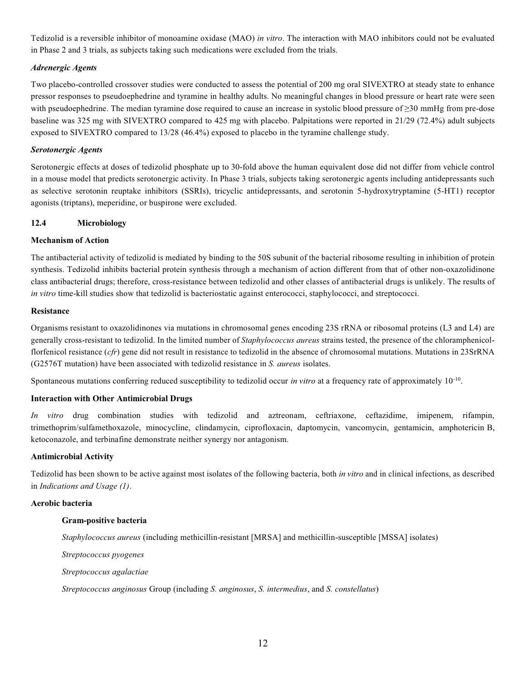Tedizolid is a reversible inhibitor of monoamine oxidase (MAO) *in vitro*. The interaction with MAO inhibitors could not be evaluated in Phase 2 and 3 trials, as subjects taking such medications were excluded from the trials.

# *Adrenergic Agents*

Two placebo-controlled crossover studies were conducted to assess the potential of 200 mg oral SIVEXTRO at steady state to enhance pressor responses to pseudoephedrine and tyramine in healthy adults. No meaningful changes in blood pressure or heart rate were seen with pseudoephedrine. The median tyramine dose required to cause an increase in systolic blood pressure of ≥30 mmHg from pre-dose baseline was 325 mg with SIVEXTRO compared to 425 mg with placebo. Palpitations were reported in 21/29 (72.4%) adult subjects exposed to SIVEXTRO compared to 13/28 (46.4%) exposed to placebo in the tyramine challenge study.

#### *Serotonergic Agents*

Serotonergic effects at doses of tedizolid phosphate up to 30-fold above the human equivalent dose did not differ from vehicle control in a mouse model that predicts serotonergic activity. In Phase 3 trials, subjects taking serotonergic agents including antidepressants such as selective serotonin reuptake inhibitors (SSRIs), tricyclic antidepressants, and serotonin 5-hydroxytryptamine (5-HT1) receptor agonists (triptans), meperidine, or buspirone were excluded.

#### **12.4 Microbiology**

#### **Mechanism of Action**

The antibacterial activity of tedizolid is mediated by binding to the 50S subunit of the bacterial ribosome resulting in inhibition of protein synthesis. Tedizolid inhibits bacterial protein synthesis through a mechanism of action different from that of other non-oxazolidinone class antibacterial drugs; therefore, cross-resistance between tedizolid and other classes of antibacterial drugs is unlikely. The results of *in vitro* time-kill studies show that tedizolid is bacteriostatic against enterococci, staphylococci, and streptococci.

#### **Resistance**

Organisms resistant to oxazolidinones via mutations in chromosomal genes encoding 23S rRNA or ribosomal proteins (L3 and L4) are generally cross-resistant to tedizolid. In the limited number of *Staphylococcus aureus* strains tested, the presence of the chloramphenicolflorfenicol resistance (*cfr*) gene did not result in resistance to tedizolid in the absence of chromosomal mutations. Mutations in 23SrRNA (G2576T mutation) have been associated with tedizolid resistance in *S. aureus* isolates.

Spontaneous mutations conferring reduced susceptibility to tedizolid occur *in vitro* at a frequency rate of approximately 10<sup>-10</sup>.

### **Interaction with Other Antimicrobial Drugs**

*In vitro* drug combination studies with tedizolid and aztreonam, ceftriaxone, ceftazidime, imipenem, rifampin, trimethoprim/sulfamethoxazole, minocycline, clindamycin, ciprofloxacin, daptomycin, vancomycin, gentamicin, amphotericin B, ketoconazole, and terbinafine demonstrate neither synergy nor antagonism.

#### **Antimicrobial Activity**

Tedizolid has been shown to be active against most isolates of the following bacteria, both *in vitro* and in clinical infections, as described in *Indications and Usage (1)*.

### **Aerobic bacteria**

#### **Gram-positive bacteria**

*Staphylococcus aureus* (including methicillin-resistant [MRSA] and methicillin-susceptible [MSSA] isolates)

*Streptococcus pyogenes*

*Streptococcus agalactiae*

*Streptococcus anginosus* Group (including *S. anginosus*, *S. intermedius*, and *S. constellatus*)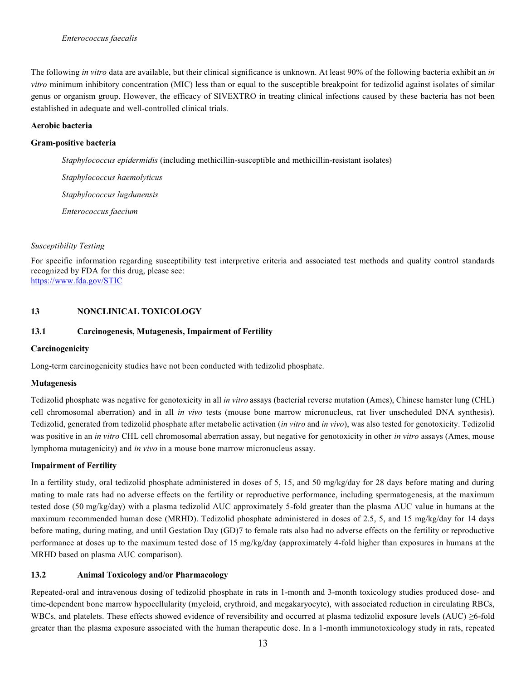The following *in vitro* data are available, but their clinical significance is unknown. At least 90% of the following bacteria exhibit an *in vitro* minimum inhibitory concentration (MIC) less than or equal to the susceptible breakpoint for tedizolid against isolates of similar genus or organism group. However, the efficacy of SIVEXTRO in treating clinical infections caused by these bacteria has not been established in adequate and well-controlled clinical trials.

#### **Aerobic bacteria**

### **Gram-positive bacteria**

*Staphylococcus epidermidis* (including methicillin-susceptible and methicillin-resistant isolates)

*Staphylococcus haemolyticus Staphylococcus lugdunensis*

*Enterococcus faecium* 

#### *Susceptibility Testing*

For specific information regarding susceptibility test interpretive criteria and associated test methods and quality control standards recognized by FDA for this drug, please see: <https://www.fda.gov/STIC>

# **13 NONCLINICAL TOXICOLOGY**

#### **13.1 Carcinogenesis, Mutagenesis, Impairment of Fertility**

#### **Carcinogenicity**

Long-term carcinogenicity studies have not been conducted with tedizolid phosphate.

# **Mutagenesis**

Tedizolid phosphate was negative for genotoxicity in all *in vitro* assays (bacterial reverse mutation (Ames), Chinese hamster lung (CHL) cell chromosomal aberration) and in all *in vivo* tests (mouse bone marrow micronucleus, rat liver unscheduled DNA synthesis). Tedizolid, generated from tedizolid phosphate after metabolic activation (*in vitro* and *in vivo*), was also tested for genotoxicity. Tedizolid was positive in an *in vitro* CHL cell chromosomal aberration assay, but negative for genotoxicity in other *in vitro* assays (Ames, mouse lymphoma mutagenicity) and *in vivo* in a mouse bone marrow micronucleus assay.

# **Impairment of Fertility**

In a fertility study, oral tedizolid phosphate administered in doses of 5, 15, and 50 mg/kg/day for 28 days before mating and during mating to male rats had no adverse effects on the fertility or reproductive performance, including spermatogenesis, at the maximum tested dose (50 mg/kg/day) with a plasma tedizolid AUC approximately 5-fold greater than the plasma AUC value in humans at the maximum recommended human dose (MRHD). Tedizolid phosphate administered in doses of 2.5, 5, and 15 mg/kg/day for 14 days before mating, during mating, and until Gestation Day (GD)7 to female rats also had no adverse effects on the fertility or reproductive performance at doses up to the maximum tested dose of 15 mg/kg/day (approximately 4-fold higher than exposures in humans at the MRHD based on plasma AUC comparison).

# **13.2 Animal Toxicology and/or Pharmacology**

Repeated-oral and intravenous dosing of tedizolid phosphate in rats in 1-month and 3-month toxicology studies produced dose- and time-dependent bone marrow hypocellularity (myeloid, erythroid, and megakaryocyte), with associated reduction in circulating RBCs, WBCs, and platelets. These effects showed evidence of reversibility and occurred at plasma tedizolid exposure levels (AUC) ≥6-fold greater than the plasma exposure associated with the human therapeutic dose. In a 1-month immunotoxicology study in rats, repeated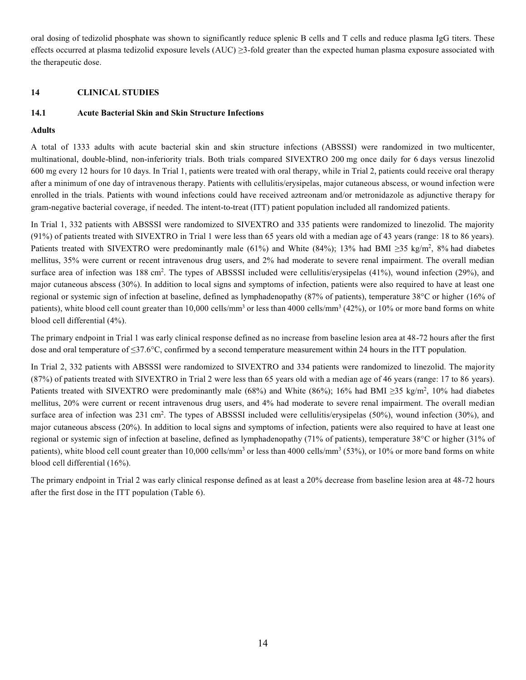oral dosing of tedizolid phosphate was shown to significantly reduce splenic B cells and T cells and reduce plasma IgG titers. These effects occurred at plasma tedizolid exposure levels (AUC) > 3-fold greater than the expected human plasma exposure associated with the therapeutic dose.

### **14 CLINICAL STUDIES**

### **14.1 Acute Bacterial Skin and Skin Structure Infections**

#### **Adults**

A total of 1333 adults with acute bacterial skin and skin structure infections (ABSSSI) were randomized in two multicenter, multinational, double-blind, non-inferiority trials. Both trials compared SIVEXTRO 200 mg once daily for 6 days versus linezolid 600 mg every 12 hours for 10 days. In Trial 1, patients were treated with oral therapy, while in Trial 2, patients could receive oral therapy after a minimum of one day of intravenous therapy. Patients with cellulitis/erysipelas, major cutaneous abscess, or wound infection were enrolled in the trials. Patients with wound infections could have received aztreonam and/or metronidazole as adjunctive therapy for gram-negative bacterial coverage, if needed. The intent-to-treat (ITT) patient population included all randomized patients.

In Trial 1, 332 patients with ABSSSI were randomized to SIVEXTRO and 335 patients were randomized to linezolid. The majority (91%) of patients treated with SIVEXTRO in Trial 1 were less than 65 years old with a median age of 43 years (range: 18 to 86 years). Patients treated with SIVEXTRO were predominantly male (61%) and White (84%); 13% had BMI ≥35 kg/m<sup>2</sup>, 8% had diabetes mellitus, 35% were current or recent intravenous drug users, and 2% had moderate to severe renal impairment. The overall median surface area of infection was  $188 \text{ cm}^2$ . The types of ABSSSI included were cellulitis/erysipelas (41%), wound infection (29%), and major cutaneous abscess (30%). In addition to local signs and symptoms of infection, patients were also required to have at least one regional or systemic sign of infection at baseline, defined as lymphadenopathy (87% of patients), temperature 38°C or higher (16% of patients), white blood cell count greater than 10,000 cells/mm<sup>3</sup> or less than 4000 cells/mm<sup>3</sup> (42%), or 10% or more band forms on white blood cell differential (4%).

The primary endpoint in Trial 1 was early clinical response defined as no increase from baseline lesion area at 48-72 hours after the first dose and oral temperature of ≤37.6°C, confirmed by a second temperature measurement within 24 hours in the ITT population.

In Trial 2, 332 patients with ABSSSI were randomized to SIVEXTRO and 334 patients were randomized to linezolid. The majority (87%) of patients treated with SIVEXTRO in Trial 2 were less than 65 years old with a median age of 46 years (range: 17 to 86 years). Patients treated with SIVEXTRO were predominantly male (68%) and White (86%); 16% had BMI ≥35 kg/m<sup>2</sup>, 10% had diabetes mellitus, 20% were current or recent intravenous drug users, and 4% had moderate to severe renal impairment. The overall median surface area of infection was 231 cm<sup>2</sup>. The types of ABSSSI included were cellulitis/erysipelas (50%), wound infection (30%), and major cutaneous abscess (20%). In addition to local signs and symptoms of infection, patients were also required to have at least one regional or systemic sign of infection at baseline, defined as lymphadenopathy (71% of patients), temperature 38°C or higher (31% of patients), white blood cell count greater than 10,000 cells/mm<sup>3</sup> or less than 4000 cells/mm<sup>3</sup> (53%), or 10% or more band forms on white blood cell differential (16%).

The primary endpoint in Trial 2 was early clinical response defined as at least a 20% decrease from baseline lesion area at 48-72 hours after the first dose in the ITT population (Table 6).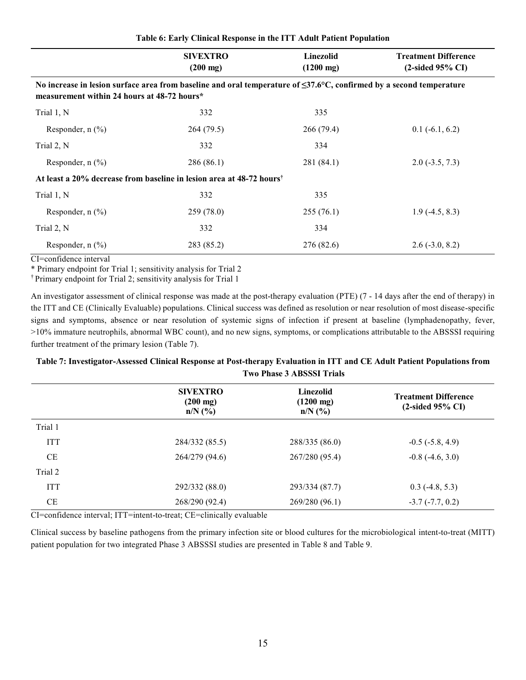|                                                                                                                                                                          | <b>SIVEXTRO</b><br>$(200 \text{ mg})$ | Linezolid<br>$(1200 \text{ mg})$ | <b>Treatment Difference</b><br>$(2$ -sided 95% CI |
|--------------------------------------------------------------------------------------------------------------------------------------------------------------------------|---------------------------------------|----------------------------------|---------------------------------------------------|
| No increase in lesion surface area from baseline and oral temperature of $\leq$ 37.6°C, confirmed by a second temperature<br>measurement within 24 hours at 48-72 hours* |                                       |                                  |                                                   |
| Trial 1, N                                                                                                                                                               | 332                                   | 335                              |                                                   |
| Responder, $n$ $\left(\frac{0}{0}\right)$                                                                                                                                | 264 (79.5)                            | 266 (79.4)                       | $0.1(-6.1, 6.2)$                                  |
| Trial 2, N                                                                                                                                                               | 332                                   | 334                              |                                                   |
| Responder, $n$ $\left(\frac{0}{0}\right)$                                                                                                                                | 286 (86.1)                            | 281 (84.1)                       | $2.0(-3.5, 7.3)$                                  |
| At least a 20% decrease from baseline in lesion area at 48-72 hours <sup>†</sup>                                                                                         |                                       |                                  |                                                   |
| Trial 1, N                                                                                                                                                               | 332                                   | 335                              |                                                   |
| Responder, $n$ $\left(\frac{0}{0}\right)$                                                                                                                                | 259(78.0)                             | 255(76.1)                        | $1.9(-4.5, 8.3)$                                  |
| Trial 2, N                                                                                                                                                               | 332                                   | 334                              |                                                   |
| Responder, $n$ $\left(\frac{0}{0}\right)$                                                                                                                                | 283 (85.2)                            | 276 (82.6)                       | $2.6(-3.0, 8.2)$                                  |

**Table 6: Early Clinical Response in the ITT Adult Patient Population**

CI=confidence interval

\* Primary endpoint for Trial 1; sensitivity analysis for Trial 2

† Primary endpoint for Trial 2; sensitivity analysis for Trial 1

An investigator assessment of clinical response was made at the post-therapy evaluation (PTE) (7 - 14 days after the end of therapy) in the ITT and CE (Clinically Evaluable) populations. Clinical success was defined as resolution or near resolution of most disease-specific signs and symptoms, absence or near resolution of systemic signs of infection if present at baseline (lymphadenopathy, fever, >10% immature neutrophils, abnormal WBC count), and no new signs, symptoms, or complications attributable to the ABSSSI requiring further treatment of the primary lesion (Table 7).

# **Table 7: Investigator-Assessed Clinical Response at Post-therapy Evaluation in ITT and CE Adult Patient Populations from Two Phase 3 ABSSSI Trials**

|            | <b>SIVEXTRO</b><br>$(200 \text{ mg})$<br>$n/N$ (%) | Linezolid<br>$(1200 \text{ mg})$<br>$n/N$ (%) | <b>Treatment Difference</b><br>$(2$ -sided 95% CI) |
|------------|----------------------------------------------------|-----------------------------------------------|----------------------------------------------------|
| Trial 1    |                                                    |                                               |                                                    |
| <b>ITT</b> | 284/332 (85.5)                                     | 288/335 (86.0)                                | $-0.5$ ( $-5.8$ , 4.9)                             |
| <b>CE</b>  | 264/279 (94.6)                                     | 267/280 (95.4)                                | $-0.8$ $(-4.6, 3.0)$                               |
| Trial 2    |                                                    |                                               |                                                    |
| <b>ITT</b> | 292/332 (88.0)                                     | 293/334 (87.7)                                | $0.3$ (-4.8, 5.3)                                  |
| <b>CE</b>  | 268/290 (92.4)                                     | 269/280 (96.1)                                | $-3.7(-7.7, 0.2)$                                  |

CI=confidence interval; ITT=intent-to-treat; CE=clinically evaluable

Clinical success by baseline pathogens from the primary infection site or blood cultures for the microbiological intent-to-treat (MITT) patient population for two integrated Phase 3 ABSSSI studies are presented in Table 8 and Table 9.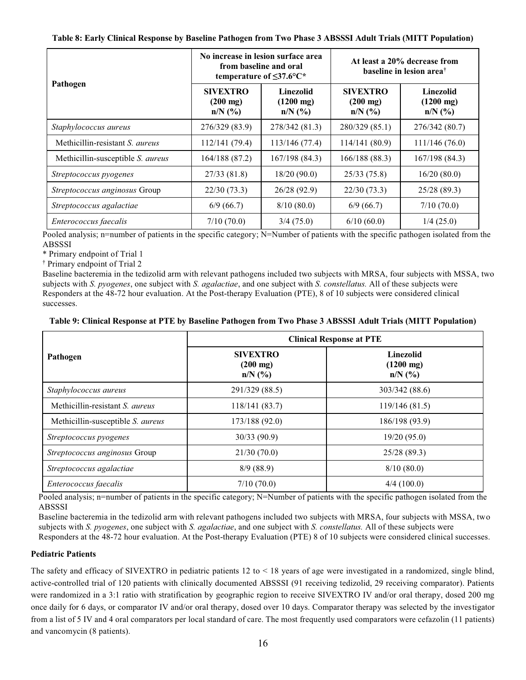|  | Table 8: Early Clinical Response by Baseline Pathogen from Two Phase 3 ABSSSI Adult Trials (MITT Population) |  |  |  |  |  |  |
|--|--------------------------------------------------------------------------------------------------------------|--|--|--|--|--|--|
|--|--------------------------------------------------------------------------------------------------------------|--|--|--|--|--|--|

|                                        |                                                    | No increase in lesion surface area<br>from baseline and oral<br>temperature of $\leq 37.6$ °C* | At least a 20% decrease from<br>baseline in lesion area <sup>†</sup>      |                                               |  |
|----------------------------------------|----------------------------------------------------|------------------------------------------------------------------------------------------------|---------------------------------------------------------------------------|-----------------------------------------------|--|
| Pathogen                               | <b>SIVEXTRO</b><br>$(200 \text{ mg})$<br>$n/N$ (%) | Linezolid<br>$(1200 \text{ mg})$<br>$n/N$ (%)                                                  | <b>SIVEXTRO</b><br>$(200 \text{ mg})$<br>$n/N$ $\left(\frac{9}{6}\right)$ | Linezolid<br>$(1200 \text{ mg})$<br>$n/N$ (%) |  |
| Staphylococcus aureus                  | 276/329 (83.9)                                     | 278/342 (81.3)                                                                                 | 280/329 (85.1)                                                            | 276/342 (80.7)                                |  |
| Methicillin-resistant S. <i>aureus</i> | 112/141 (79.4)                                     | 113/146 (77.4)                                                                                 | 114/141 (80.9)                                                            | 111/146(76.0)                                 |  |
| Methicillin-susceptible S. aureus      | 164/188 (87.2)                                     | 167/198 (84.3)                                                                                 | 166/188 (88.3)                                                            | 167/198(84.3)                                 |  |
| Streptococcus pyogenes                 | 27/33(81.8)                                        | 18/20(90.0)                                                                                    | 25/33(75.8)                                                               | 16/20(80.0)                                   |  |
| Streptococcus anginosus Group          | 22/30(73.3)                                        | 26/28 (92.9)                                                                                   | 22/30(73.3)                                                               | 25/28 (89.3)                                  |  |
| Streptococcus agalactiae               | 6/9(66.7)                                          | 8/10(80.0)                                                                                     | 6/9(66.7)                                                                 | 7/10(70.0)                                    |  |
| Enterococcus faecalis                  | 7/10(70.0)                                         | 3/4(75.0)                                                                                      | 6/10(60.0)                                                                | 1/4(25.0)                                     |  |

Pooled analysis; n=number of patients in the specific category; N=Number of patients with the specific pathogen isolated from the **ABSSSI** 

\* Primary endpoint of Trial 1

† Primary endpoint of Trial 2

Baseline bacteremia in the tedizolid arm with relevant pathogens included two subjects with MRSA, four subjects with MSSA, two subjects with *S. pyogenes*, one subject with *S. agalactiae*, and one subject with *S. constellatus.* All of these subjects were Responders at the 48-72 hour evaluation. At the Post-therapy Evaluation (PTE), 8 of 10 subjects were considered clinical successes.

#### **Table 9: Clinical Response at PTE by Baseline Pathogen from Two Phase 3 ABSSSI Adult Trials (MITT Population)**

|                                   | <b>Clinical Response at PTE</b>                    |                                                      |  |  |  |
|-----------------------------------|----------------------------------------------------|------------------------------------------------------|--|--|--|
| Pathogen                          | <b>SIVEXTRO</b><br>$(200 \text{ mg})$<br>$n/N$ (%) | <b>Linezolid</b><br>$(1200 \text{ mg})$<br>$n/N$ (%) |  |  |  |
| Staphylococcus aureus             | 291/329 (88.5)                                     | 303/342 (88.6)                                       |  |  |  |
| Methicillin-resistant S. aureus   | 118/141(83.7)                                      | 119/146(81.5)                                        |  |  |  |
| Methicillin-susceptible S. aureus | 173/188 (92.0)                                     | 186/198 (93.9)                                       |  |  |  |
| Streptococcus pyogenes            | 30/33(90.9)                                        | 19/20(95.0)                                          |  |  |  |
| Streptococcus anginosus Group     | 21/30(70.0)                                        | 25/28 (89.3)                                         |  |  |  |
| Streptococcus agalactiae          | 8/9(88.9)                                          | 8/10(80.0)                                           |  |  |  |
| Enterococcus faecalis             | 7/10(70.0)                                         | 4/4(100.0)                                           |  |  |  |

Pooled analysis; n=number of patients in the specific category; N=Number of patients with the specific pathogen isolated from the ABSSSI

Baseline bacteremia in the tedizolid arm with relevant pathogens included two subjects with MRSA, four subjects with MSSA, two subjects with *S. pyogenes*, one subject with *S. agalactiae*, and one subject with *S. constellatus.* All of these subjects were

Responders at the 48-72 hour evaluation. At the Post-therapy Evaluation (PTE) 8 of 10 subjects were considered clinical successes.

# **Pediatric Patients**

The safety and efficacy of SIVEXTRO in pediatric patients 12 to < 18 years of age were investigated in a randomized, single blind, active-controlled trial of 120 patients with clinically documented ABSSSI (91 receiving tedizolid, 29 receiving comparator). Patients were randomized in a 3:1 ratio with stratification by geographic region to receive SIVEXTRO IV and/or oral therapy, dosed 200 mg once daily for 6 days, or comparator IV and/or oral therapy, dosed over 10 days. Comparator therapy was selected by the investigator from a list of 5 IV and 4 oral comparators per local standard of care. The most frequently used comparators were cefazolin (11 patients) and vancomycin (8 patients).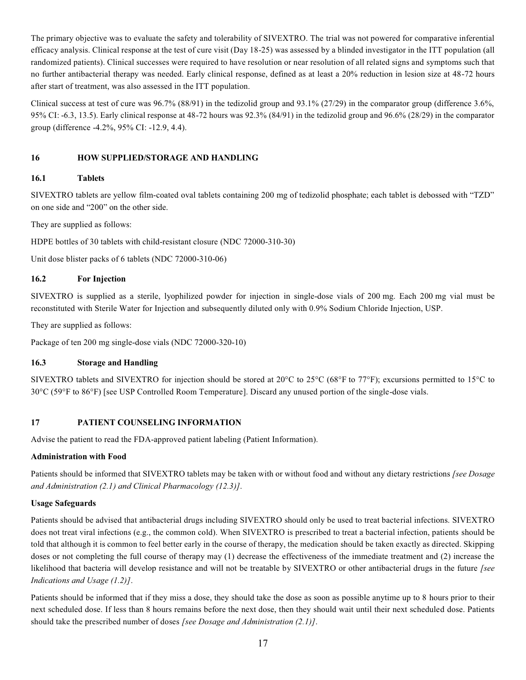The primary objective was to evaluate the safety and tolerability of SIVEXTRO. The trial was not powered for comparative inferential efficacy analysis. Clinical response at the test of cure visit (Day 18-25) was assessed by a blinded investigator in the ITT population (all randomized patients). Clinical successes were required to have resolution or near resolution of all related signs and symptoms such that no further antibacterial therapy was needed. Early clinical response, defined as at least a 20% reduction in lesion size at 48-72 hours after start of treatment, was also assessed in the ITT population.

Clinical success at test of cure was 96.7% (88/91) in the tedizolid group and 93.1% (27/29) in the comparator group (difference 3.6%, 95% CI: -6.3, 13.5). Early clinical response at 48-72 hours was 92.3% (84/91) in the tedizolid group and 96.6% (28/29) in the comparator group (difference -4.2%, 95% CI: -12.9, 4.4).

# **16 HOW SUPPLIED/STORAGE AND HANDLING**

# **16.1 Tablets**

SIVEXTRO tablets are yellow film-coated oval tablets containing 200 mg of tedizolid phosphate; each tablet is debossed with "TZD" on one side and "200" on the other side.

They are supplied as follows:

HDPE bottles of 30 tablets with child-resistant closure (NDC 72000-310-30)

Unit dose blister packs of 6 tablets (NDC 72000-310-06)

# **16.2 For Injection**

SIVEXTRO is supplied as a sterile, lyophilized powder for injection in single-dose vials of 200 mg. Each 200 mg vial must be reconstituted with Sterile Water for Injection and subsequently diluted only with 0.9% Sodium Chloride Injection, USP.

They are supplied as follows:

Package of ten 200 mg single-dose vials (NDC 72000-320-10)

# **16.3 Storage and Handling**

SIVEXTRO tablets and SIVEXTRO for injection should be stored at 20°C to 25°C (68°F to 77°F); excursions permitted to 15°C to 30°C (59°F to 86°F) [see USP Controlled Room Temperature]. Discard any unused portion of the single-dose vials.

# **17 PATIENT COUNSELING INFORMATION**

Advise the patient to read the FDA-approved patient labeling (Patient Information).

# **Administration with Food**

Patients should be informed that SIVEXTRO tablets may be taken with or without food and without any dietary restrictions *[see Dosage and Administration (2.1) and Clinical Pharmacology (12.3)]*.

# **Usage Safeguards**

Patients should be advised that antibacterial drugs including SIVEXTRO should only be used to treat bacterial infections. SIVEXTRO does not treat viral infections (e.g., the common cold). When SIVEXTRO is prescribed to treat a bacterial infection, patients should be told that although it is common to feel better early in the course of therapy, the medication should be taken exactly as directed. Skipping doses or not completing the full course of therapy may (1) decrease the effectiveness of the immediate treatment and (2) increase the likelihood that bacteria will develop resistance and will not be treatable by SIVEXTRO or other antibacterial drugs in the future *[see Indications and Usage (1.2)]*.

Patients should be informed that if they miss a dose, they should take the dose as soon as possible anytime up to 8 hours prior to their next scheduled dose. If less than 8 hours remains before the next dose, then they should wait until their next scheduled dose. Patients should take the prescribed number of doses *[see Dosage and Administration (2.1)]*.